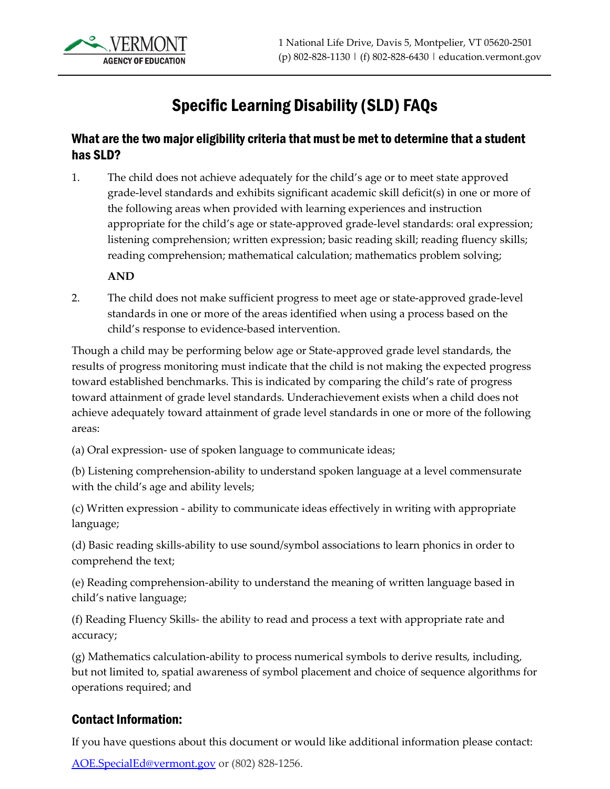

# Specific Learning Disability (SLD) FAQs

#### What are the two major eligibility criteria that must be met to determine that a student has SLD?

1. The child does not achieve adequately for the child's age or to meet state approved grade-level standards and exhibits significant academic skill deficit(s) in one or more of the following areas when provided with learning experiences and instruction appropriate for the child's age or state-approved grade-level standards: oral expression; listening comprehension; written expression; basic reading skill; reading fluency skills; reading comprehension; mathematical calculation; mathematics problem solving;

#### **AND**

2. The child does not make sufficient progress to meet age or state-approved grade-level standards in one or more of the areas identified when using a process based on the child's response to evidence-based intervention.

Though a child may be performing below age or State-approved grade level standards, the results of progress monitoring must indicate that the child is not making the expected progress toward established benchmarks. This is indicated by comparing the child's rate of progress toward attainment of grade level standards. Underachievement exists when a child does not achieve adequately toward attainment of grade level standards in one or more of the following areas:

(a) Oral expression- use of spoken language to communicate ideas;

(b) Listening comprehension-ability to understand spoken language at a level commensurate with the child's age and ability levels;

(c) Written expression - ability to communicate ideas effectively in writing with appropriate language;

(d) Basic reading skills-ability to use sound/symbol associations to learn phonics in order to comprehend the text;

(e) Reading comprehension-ability to understand the meaning of written language based in child's native language;

(f) Reading Fluency Skills- the ability to read and process a text with appropriate rate and accuracy;

(g) Mathematics calculation-ability to process numerical symbols to derive results, including, but not limited to, spatial awareness of symbol placement and choice of sequence algorithms for operations required; and

#### Contact Information:

If you have questions about this document or would like additional information please contact:

[AOE.SpecialEd@vermont.gov](mailto:AOE.SpecialEd@vermont.gov?subject=Web%20Request%20-%20TA%3A%20) or (802) 828-1256.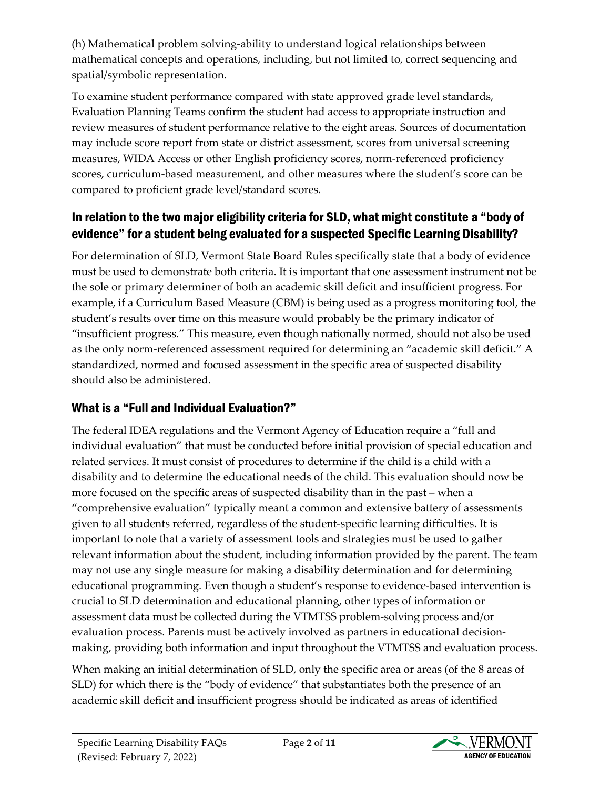(h) Mathematical problem solving-ability to understand logical relationships between mathematical concepts and operations, including, but not limited to, correct sequencing and spatial/symbolic representation.

To examine student performance compared with state approved grade level standards, Evaluation Planning Teams confirm the student had access to appropriate instruction and review measures of student performance relative to the eight areas. Sources of documentation may include score report from state or district assessment, scores from universal screening measures, WIDA Access or other English proficiency scores, norm-referenced proficiency scores, curriculum-based measurement, and other measures where the student's score can be compared to proficient grade level/standard scores.

# In relation to the two major eligibility criteria for SLD, what might constitute a "body of evidence" for a student being evaluated for a suspected Specific Learning Disability?

For determination of SLD, Vermont State Board Rules specifically state that a body of evidence must be used to demonstrate both criteria. It is important that one assessment instrument not be the sole or primary determiner of both an academic skill deficit and insufficient progress. For example, if a Curriculum Based Measure (CBM) is being used as a progress monitoring tool, the student's results over time on this measure would probably be the primary indicator of "insufficient progress." This measure, even though nationally normed, should not also be used as the only norm-referenced assessment required for determining an "academic skill deficit." A standardized, normed and focused assessment in the specific area of suspected disability should also be administered.

# What is a "Full and Individual Evaluation?"

The federal IDEA regulations and the Vermont Agency of Education require a "full and individual evaluation" that must be conducted before initial provision of special education and related services. It must consist of procedures to determine if the child is a child with a disability and to determine the educational needs of the child. This evaluation should now be more focused on the specific areas of suspected disability than in the past – when a "comprehensive evaluation" typically meant a common and extensive battery of assessments given to all students referred, regardless of the student-specific learning difficulties. It is important to note that a variety of assessment tools and strategies must be used to gather relevant information about the student, including information provided by the parent. The team may not use any single measure for making a disability determination and for determining educational programming. Even though a student's response to evidence-based intervention is crucial to SLD determination and educational planning, other types of information or assessment data must be collected during the VTMTSS problem-solving process and/or evaluation process. Parents must be actively involved as partners in educational decisionmaking, providing both information and input throughout the VTMTSS and evaluation process.

When making an initial determination of SLD, only the specific area or areas (of the 8 areas of SLD) for which there is the "body of evidence" that substantiates both the presence of an academic skill deficit and insufficient progress should be indicated as areas of identified

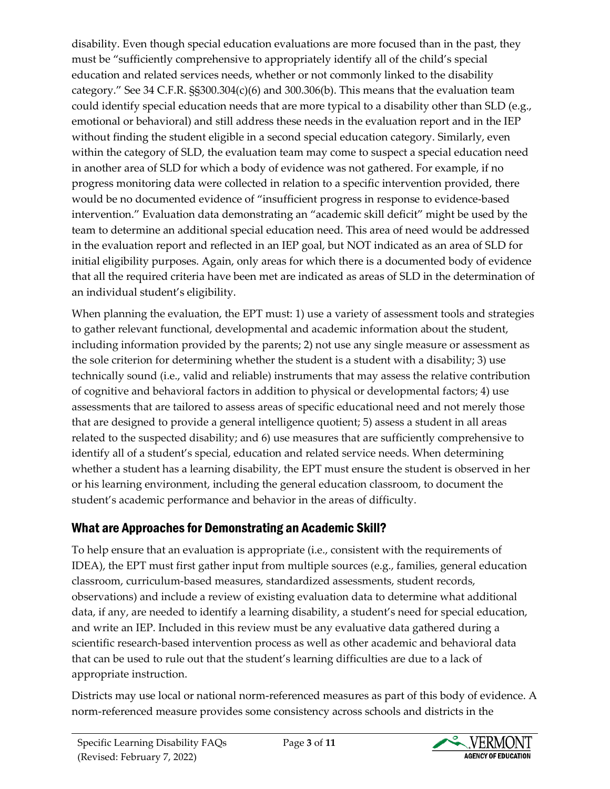disability. Even though special education evaluations are more focused than in the past, they must be "sufficiently comprehensive to appropriately identify all of the child's special education and related services needs, whether or not commonly linked to the disability category." See 34 C.F.R. §§300.304(c)(6) and 300.306(b). This means that the evaluation team could identify special education needs that are more typical to a disability other than SLD (e.g., emotional or behavioral) and still address these needs in the evaluation report and in the IEP without finding the student eligible in a second special education category. Similarly, even within the category of SLD, the evaluation team may come to suspect a special education need in another area of SLD for which a body of evidence was not gathered. For example, if no progress monitoring data were collected in relation to a specific intervention provided, there would be no documented evidence of "insufficient progress in response to evidence-based intervention." Evaluation data demonstrating an "academic skill deficit" might be used by the team to determine an additional special education need. This area of need would be addressed in the evaluation report and reflected in an IEP goal, but NOT indicated as an area of SLD for initial eligibility purposes. Again, only areas for which there is a documented body of evidence that all the required criteria have been met are indicated as areas of SLD in the determination of an individual student's eligibility.

When planning the evaluation, the EPT must: 1) use a variety of assessment tools and strategies to gather relevant functional, developmental and academic information about the student, including information provided by the parents; 2) not use any single measure or assessment as the sole criterion for determining whether the student is a student with a disability; 3) use technically sound (i.e., valid and reliable) instruments that may assess the relative contribution of cognitive and behavioral factors in addition to physical or developmental factors; 4) use assessments that are tailored to assess areas of specific educational need and not merely those that are designed to provide a general intelligence quotient; 5) assess a student in all areas related to the suspected disability; and 6) use measures that are sufficiently comprehensive to identify all of a student's special, education and related service needs. When determining whether a student has a learning disability, the EPT must ensure the student is observed in her or his learning environment, including the general education classroom, to document the student's academic performance and behavior in the areas of difficulty.

# What are Approaches for Demonstrating an Academic Skill?

To help ensure that an evaluation is appropriate (i.e., consistent with the requirements of IDEA), the EPT must first gather input from multiple sources (e.g., families, general education classroom, curriculum-based measures, standardized assessments, student records, observations) and include a review of existing evaluation data to determine what additional data, if any, are needed to identify a learning disability, a student's need for special education, and write an IEP. Included in this review must be any evaluative data gathered during a scientific research-based intervention process as well as other academic and behavioral data that can be used to rule out that the student's learning difficulties are due to a lack of appropriate instruction.

Districts may use local or national norm-referenced measures as part of this body of evidence. A norm-referenced measure provides some consistency across schools and districts in the

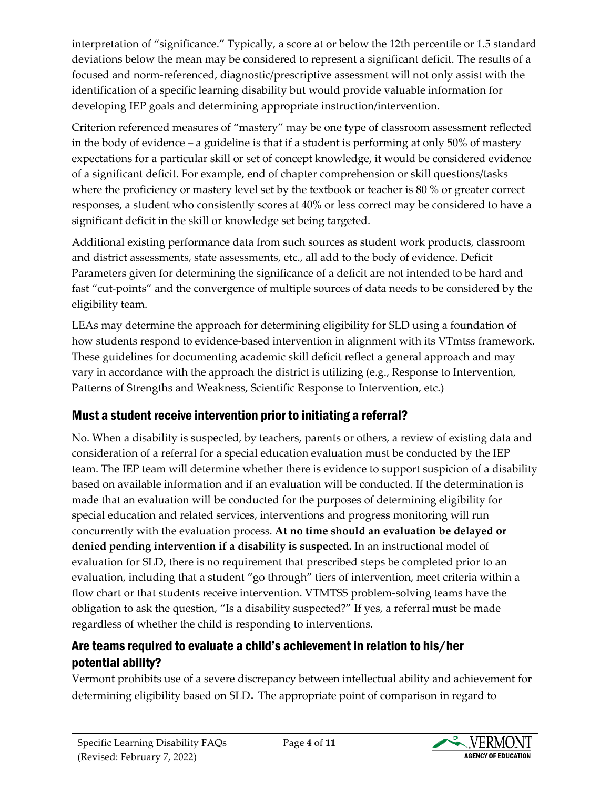interpretation of "significance." Typically, a score at or below the 12th percentile or 1.5 standard deviations below the mean may be considered to represent a significant deficit. The results of a focused and norm-referenced, diagnostic/prescriptive assessment will not only assist with the identification of a specific learning disability but would provide valuable information for developing IEP goals and determining appropriate instruction/intervention.

Criterion referenced measures of "mastery" may be one type of classroom assessment reflected in the body of evidence – a guideline is that if a student is performing at only 50% of mastery expectations for a particular skill or set of concept knowledge, it would be considered evidence of a significant deficit. For example, end of chapter comprehension or skill questions/tasks where the proficiency or mastery level set by the textbook or teacher is 80 % or greater correct responses, a student who consistently scores at 40% or less correct may be considered to have a significant deficit in the skill or knowledge set being targeted.

Additional existing performance data from such sources as student work products, classroom and district assessments, state assessments, etc., all add to the body of evidence. Deficit Parameters given for determining the significance of a deficit are not intended to be hard and fast "cut-points" and the convergence of multiple sources of data needs to be considered by the eligibility team.

LEAs may determine the approach for determining eligibility for SLD using a foundation of how students respond to evidence-based intervention in alignment with its VTmtss framework. These guidelines for documenting academic skill deficit reflect a general approach and may vary in accordance with the approach the district is utilizing (e.g., Response to Intervention, Patterns of Strengths and Weakness, Scientific Response to Intervention, etc.)

# Must a student receive intervention prior to initiating a referral?

No. When a disability is suspected, by teachers, parents or others, a review of existing data and consideration of a referral for a special education evaluation must be conducted by the IEP team. The IEP team will determine whether there is evidence to support suspicion of a disability based on available information and if an evaluation will be conducted. If the determination is made that an evaluation will be conducted for the purposes of determining eligibility for special education and related services, interventions and progress monitoring will run concurrently with the evaluation process. **At no time should an evaluation be delayed or denied pending intervention if a disability is suspected.** In an instructional model of evaluation for SLD, there is no requirement that prescribed steps be completed prior to an evaluation, including that a student "go through" tiers of intervention, meet criteria within a flow chart or that students receive intervention. VTMTSS problem-solving teams have the obligation to ask the question, "Is a disability suspected?" If yes, a referral must be made regardless of whether the child is responding to interventions.

# Are teams required to evaluate a child's achievement in relation to his/her potential ability?

Vermont prohibits use of a severe discrepancy between intellectual ability and achievement for determining eligibility based on SLD. The appropriate point of comparison in regard to

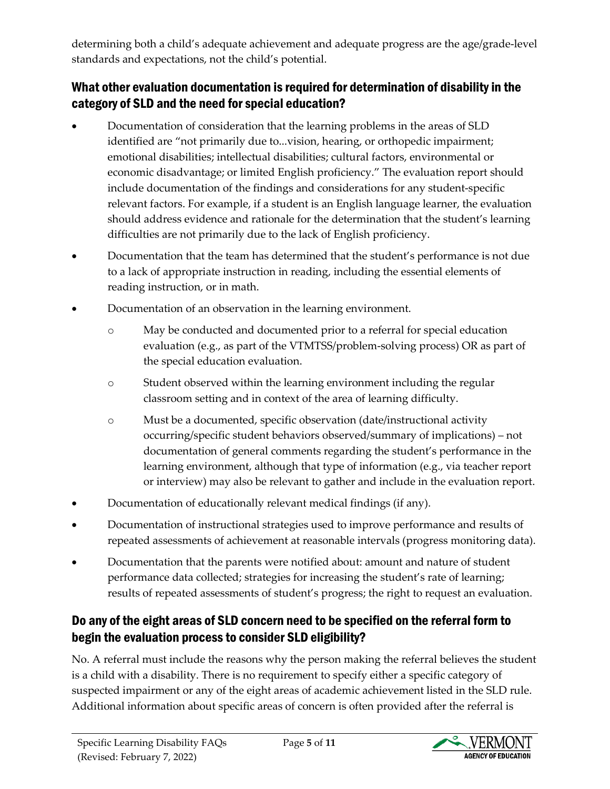determining both a child's adequate achievement and adequate progress are the age/grade-level standards and expectations, not the child's potential.

### What other evaluation documentation is required for determination of disability in the category of SLD and the need for special education?

- Documentation of consideration that the learning problems in the areas of SLD identified are "not primarily due to...vision, hearing, or orthopedic impairment; emotional disabilities; intellectual disabilities; cultural factors, environmental or economic disadvantage; or limited English proficiency." The evaluation report should include documentation of the findings and considerations for any student-specific relevant factors. For example, if a student is an English language learner, the evaluation should address evidence and rationale for the determination that the student's learning difficulties are not primarily due to the lack of English proficiency.
- Documentation that the team has determined that the student's performance is not due to a lack of appropriate instruction in reading, including the essential elements of reading instruction, or in math.
- Documentation of an observation in the learning environment.
	- o May be conducted and documented prior to a referral for special education evaluation (e.g., as part of the VTMTSS/problem-solving process) OR as part of the special education evaluation.
	- o Student observed within the learning environment including the regular classroom setting and in context of the area of learning difficulty.
	- o Must be a documented, specific observation (date/instructional activity occurring/specific student behaviors observed/summary of implications) – not documentation of general comments regarding the student's performance in the learning environment, although that type of information (e.g., via teacher report or interview) may also be relevant to gather and include in the evaluation report.
- Documentation of educationally relevant medical findings (if any).
- Documentation of instructional strategies used to improve performance and results of repeated assessments of achievement at reasonable intervals (progress monitoring data).
- Documentation that the parents were notified about: amount and nature of student performance data collected; strategies for increasing the student's rate of learning; results of repeated assessments of student's progress; the right to request an evaluation.

# Do any of the eight areas of SLD concern need to be specified on the referral form to begin the evaluation process to consider SLD eligibility?

No. A referral must include the reasons why the person making the referral believes the student is a child with a disability. There is no requirement to specify either a specific category of suspected impairment or any of the eight areas of academic achievement listed in the SLD rule. Additional information about specific areas of concern is often provided after the referral is

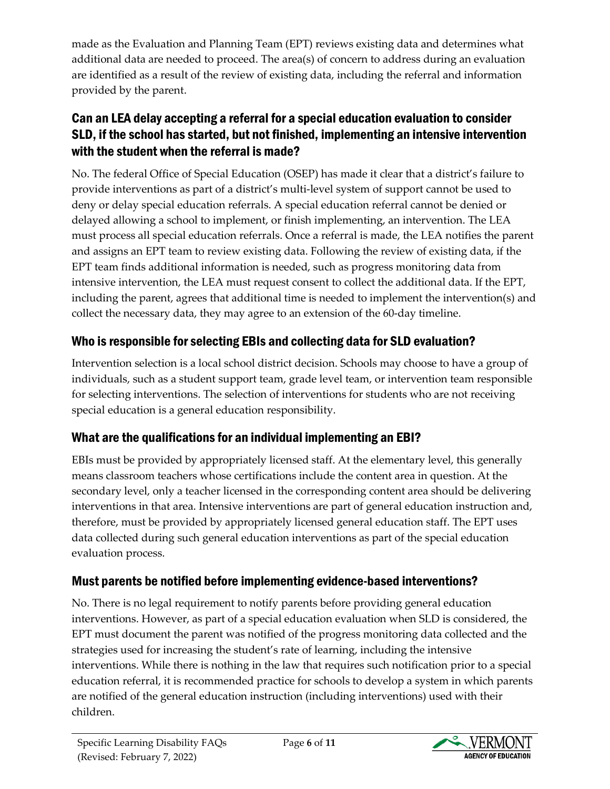made as the Evaluation and Planning Team (EPT) reviews existing data and determines what additional data are needed to proceed. The area(s) of concern to address during an evaluation are identified as a result of the review of existing data, including the referral and information provided by the parent.

## Can an LEA delay accepting a referral for a special education evaluation to consider SLD, if the school has started, but not finished, implementing an intensive intervention with the student when the referral is made?

No. The federal Office of Special Education (OSEP) has made it clear that a district's failure to provide interventions as part of a district's multi-level system of support cannot be used to deny or delay special education referrals. A special education referral cannot be denied or delayed allowing a school to implement, or finish implementing, an intervention. The LEA must process all special education referrals. Once a referral is made, the LEA notifies the parent and assigns an EPT team to review existing data. Following the review of existing data, if the EPT team finds additional information is needed, such as progress monitoring data from intensive intervention, the LEA must request consent to collect the additional data. If the EPT, including the parent, agrees that additional time is needed to implement the intervention(s) and collect the necessary data, they may agree to an extension of the 60-day timeline.

# Who is responsible for selecting EBIs and collecting data for SLD evaluation?

Intervention selection is a local school district decision. Schools may choose to have a group of individuals, such as a student support team, grade level team, or intervention team responsible for selecting interventions. The selection of interventions for students who are not receiving special education is a general education responsibility.

# What are the qualifications for an individual implementing an EBI?

EBIs must be provided by appropriately licensed staff. At the elementary level, this generally means classroom teachers whose certifications include the content area in question. At the secondary level, only a teacher licensed in the corresponding content area should be delivering interventions in that area. Intensive interventions are part of general education instruction and, therefore, must be provided by appropriately licensed general education staff. The EPT uses data collected during such general education interventions as part of the special education evaluation process.

# Must parents be notified before implementing evidence-based interventions?

No. There is no legal requirement to notify parents before providing general education interventions. However, as part of a special education evaluation when SLD is considered, the EPT must document the parent was notified of the progress monitoring data collected and the strategies used for increasing the student's rate of learning, including the intensive interventions. While there is nothing in the law that requires such notification prior to a special education referral, it is recommended practice for schools to develop a system in which parents are notified of the general education instruction (including interventions) used with their children.

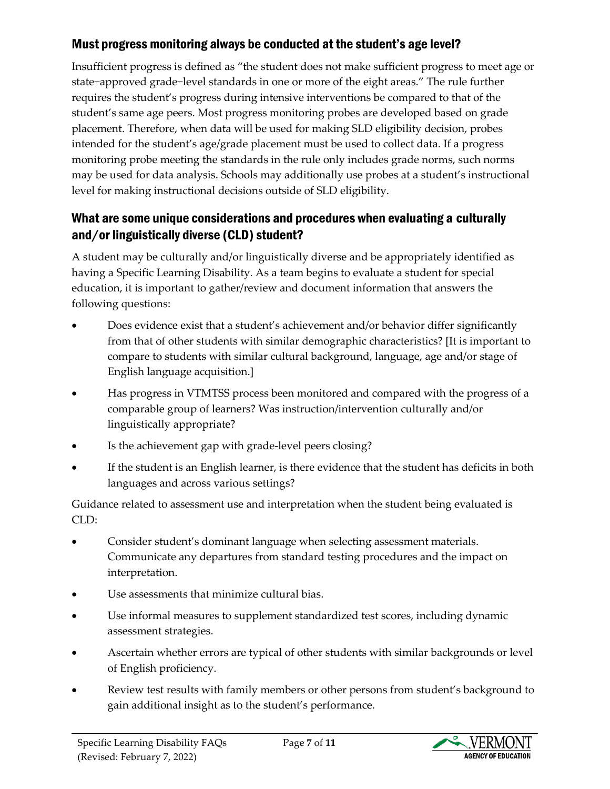#### Must progress monitoring always be conducted at the student's age level?

Insufficient progress is defined as "the student does not make sufficient progress to meet age or state−approved grade−level standards in one or more of the eight areas." The rule further requires the student's progress during intensive interventions be compared to that of the student's same age peers. Most progress monitoring probes are developed based on grade placement. Therefore, when data will be used for making SLD eligibility decision, probes intended for the student's age/grade placement must be used to collect data. If a progress monitoring probe meeting the standards in the rule only includes grade norms, such norms may be used for data analysis. Schools may additionally use probes at a student's instructional level for making instructional decisions outside of SLD eligibility.

#### What are some unique considerations and procedures when evaluating a culturally and/or linguistically diverse (CLD) student?

A student may be culturally and/or linguistically diverse and be appropriately identified as having a Specific Learning Disability. As a team begins to evaluate a student for special education, it is important to gather/review and document information that answers the following questions:

- Does evidence exist that a student's achievement and/or behavior differ significantly from that of other students with similar demographic characteristics? [It is important to compare to students with similar cultural background, language, age and/or stage of English language acquisition.]
- Has progress in VTMTSS process been monitored and compared with the progress of a comparable group of learners? Was instruction/intervention culturally and/or linguistically appropriate?
- Is the achievement gap with grade-level peers closing?
- If the student is an English learner, is there evidence that the student has deficits in both languages and across various settings?

Guidance related to assessment use and interpretation when the student being evaluated is CLD:

- Consider student's dominant language when selecting assessment materials. Communicate any departures from standard testing procedures and the impact on interpretation.
- Use assessments that minimize cultural bias.
- Use informal measures to supplement standardized test scores, including dynamic assessment strategies.
- Ascertain whether errors are typical of other students with similar backgrounds or level of English proficiency.
- Review test results with family members or other persons from student's background to gain additional insight as to the student's performance.

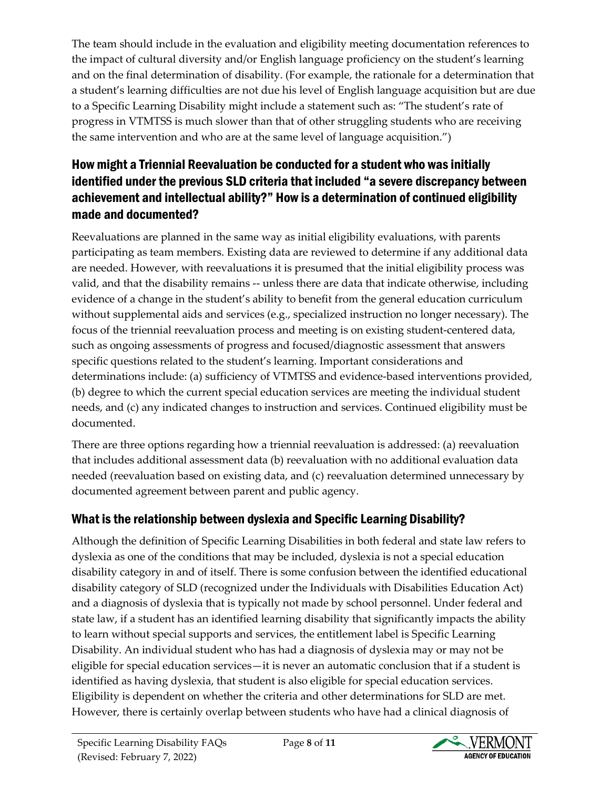The team should include in the evaluation and eligibility meeting documentation references to the impact of cultural diversity and/or English language proficiency on the student's learning and on the final determination of disability. (For example, the rationale for a determination that a student's learning difficulties are not due his level of English language acquisition but are due to a Specific Learning Disability might include a statement such as: "The student's rate of progress in VTMTSS is much slower than that of other struggling students who are receiving the same intervention and who are at the same level of language acquisition.")

# How might a Triennial Reevaluation be conducted for a student who was initially identified under the previous SLD criteria that included "a severe discrepancy between achievement and intellectual ability?" How is a determination of continued eligibility made and documented?

Reevaluations are planned in the same way as initial eligibility evaluations, with parents participating as team members. Existing data are reviewed to determine if any additional data are needed. However, with reevaluations it is presumed that the initial eligibility process was valid, and that the disability remains -- unless there are data that indicate otherwise, including evidence of a change in the student's ability to benefit from the general education curriculum without supplemental aids and services (e.g., specialized instruction no longer necessary). The focus of the triennial reevaluation process and meeting is on existing student-centered data, such as ongoing assessments of progress and focused/diagnostic assessment that answers specific questions related to the student's learning. Important considerations and determinations include: (a) sufficiency of VTMTSS and evidence-based interventions provided, (b) degree to which the current special education services are meeting the individual student needs, and (c) any indicated changes to instruction and services. Continued eligibility must be documented.

There are three options regarding how a triennial reevaluation is addressed: (a) reevaluation that includes additional assessment data (b) reevaluation with no additional evaluation data needed (reevaluation based on existing data, and (c) reevaluation determined unnecessary by documented agreement between parent and public agency.

# What is the relationship between dyslexia and Specific Learning Disability?

Although the definition of Specific Learning Disabilities in both federal and state law refers to dyslexia as one of the conditions that may be included, dyslexia is not a special education disability category in and of itself. There is some confusion between the identified educational disability category of SLD (recognized under the Individuals with Disabilities Education Act) and a diagnosis of dyslexia that is typically not made by school personnel. Under federal and state law, if a student has an identified learning disability that significantly impacts the ability to learn without special supports and services, the entitlement label is Specific Learning Disability. An individual student who has had a diagnosis of dyslexia may or may not be eligible for special education services—it is never an automatic conclusion that if a student is identified as having dyslexia, that student is also eligible for special education services. Eligibility is dependent on whether the criteria and other determinations for SLD are met. However, there is certainly overlap between students who have had a clinical diagnosis of

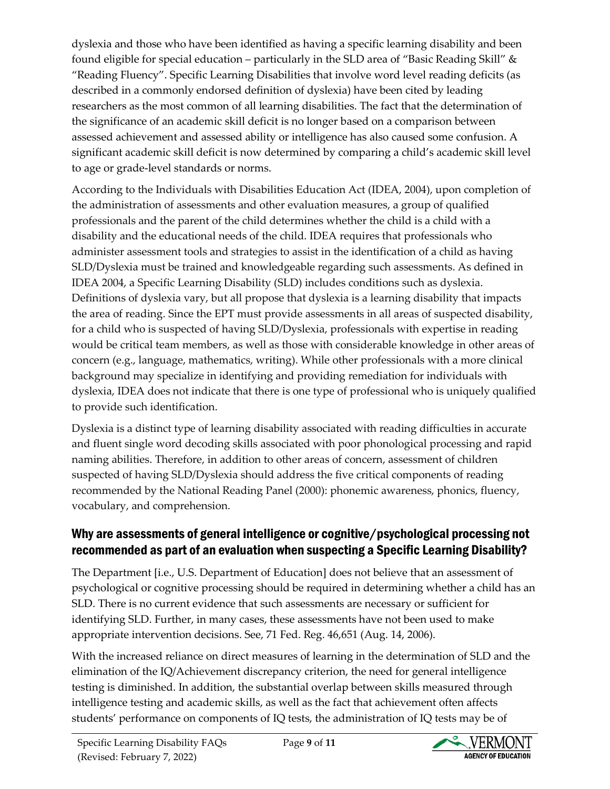dyslexia and those who have been identified as having a specific learning disability and been found eligible for special education – particularly in the SLD area of "Basic Reading Skill" & "Reading Fluency". Specific Learning Disabilities that involve word level reading deficits (as described in a commonly endorsed definition of dyslexia) have been cited by leading researchers as the most common of all learning disabilities. The fact that the determination of the significance of an academic skill deficit is no longer based on a comparison between assessed achievement and assessed ability or intelligence has also caused some confusion. A significant academic skill deficit is now determined by comparing a child's academic skill level to age or grade-level standards or norms.

According to the Individuals with Disabilities Education Act (IDEA, 2004), upon completion of the administration of assessments and other evaluation measures, a group of qualified professionals and the parent of the child determines whether the child is a child with a disability and the educational needs of the child. IDEA requires that professionals who administer assessment tools and strategies to assist in the identification of a child as having SLD/Dyslexia must be trained and knowledgeable regarding such assessments. As defined in IDEA 2004, a Specific Learning Disability (SLD) includes conditions such as dyslexia. Definitions of dyslexia vary, but all propose that dyslexia is a learning disability that impacts the area of reading. Since the EPT must provide assessments in all areas of suspected disability, for a child who is suspected of having SLD/Dyslexia, professionals with expertise in reading would be critical team members, as well as those with considerable knowledge in other areas of concern (e.g., language, mathematics, writing). While other professionals with a more clinical background may specialize in identifying and providing remediation for individuals with dyslexia, IDEA does not indicate that there is one type of professional who is uniquely qualified to provide such identification.

Dyslexia is a distinct type of learning disability associated with reading difficulties in accurate and fluent single word decoding skills associated with poor phonological processing and rapid naming abilities. Therefore, in addition to other areas of concern, assessment of children suspected of having SLD/Dyslexia should address the five critical components of reading recommended by the National Reading Panel (2000): phonemic awareness, phonics, fluency, vocabulary, and comprehension.

#### Why are assessments of general intelligence or cognitive/psychological processing not recommended as part of an evaluation when suspecting a Specific Learning Disability?

The Department [i.e., U.S. Department of Education] does not believe that an assessment of psychological or cognitive processing should be required in determining whether a child has an SLD. There is no current evidence that such assessments are necessary or sufficient for identifying SLD. Further, in many cases, these assessments have not been used to make appropriate intervention decisions. See, 71 Fed. Reg. 46,651 (Aug. 14, 2006).

With the increased reliance on direct measures of learning in the determination of SLD and the elimination of the IQ/Achievement discrepancy criterion, the need for general intelligence testing is diminished. In addition, the substantial overlap between skills measured through intelligence testing and academic skills, as well as the fact that achievement often affects students' performance on components of IQ tests, the administration of IQ tests may be of

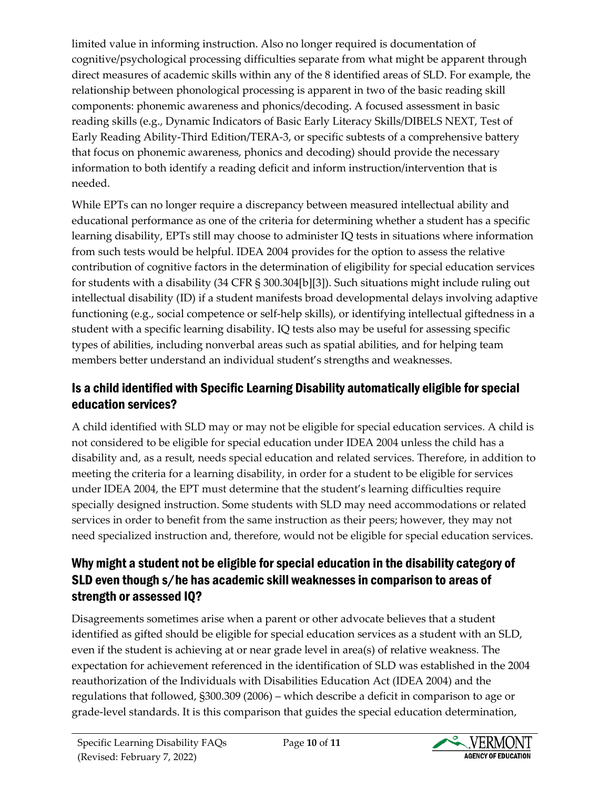limited value in informing instruction. Also no longer required is documentation of cognitive/psychological processing difficulties separate from what might be apparent through direct measures of academic skills within any of the 8 identified areas of SLD. For example, the relationship between phonological processing is apparent in two of the basic reading skill components: phonemic awareness and phonics/decoding. A focused assessment in basic reading skills (e.g., Dynamic Indicators of Basic Early Literacy Skills/DIBELS NEXT, Test of Early Reading Ability-Third Edition/TERA-3, or specific subtests of a comprehensive battery that focus on phonemic awareness, phonics and decoding) should provide the necessary information to both identify a reading deficit and inform instruction/intervention that is needed.

While EPTs can no longer require a discrepancy between measured intellectual ability and educational performance as one of the criteria for determining whether a student has a specific learning disability, EPTs still may choose to administer IQ tests in situations where information from such tests would be helpful. IDEA 2004 provides for the option to assess the relative contribution of cognitive factors in the determination of eligibility for special education services for students with a disability (34 CFR § 300.304[b][3]). Such situations might include ruling out intellectual disability (ID) if a student manifests broad developmental delays involving adaptive functioning (e.g., social competence or self-help skills), or identifying intellectual giftedness in a student with a specific learning disability. IQ tests also may be useful for assessing specific types of abilities, including nonverbal areas such as spatial abilities, and for helping team members better understand an individual student's strengths and weaknesses.

# Is a child identified with Specific Learning Disability automatically eligible for special education services?

A child identified with SLD may or may not be eligible for special education services. A child is not considered to be eligible for special education under IDEA 2004 unless the child has a disability and, as a result, needs special education and related services. Therefore, in addition to meeting the criteria for a learning disability, in order for a student to be eligible for services under IDEA 2004, the EPT must determine that the student's learning difficulties require specially designed instruction. Some students with SLD may need accommodations or related services in order to benefit from the same instruction as their peers; however, they may not need specialized instruction and, therefore, would not be eligible for special education services.

# Why might a student not be eligible for special education in the disability category of SLD even though s/he has academic skill weaknesses in comparison to areas of strength or assessed IQ?

Disagreements sometimes arise when a parent or other advocate believes that a student identified as gifted should be eligible for special education services as a student with an SLD, even if the student is achieving at or near grade level in area(s) of relative weakness. The expectation for achievement referenced in the identification of SLD was established in the 2004 reauthorization of the Individuals with Disabilities Education Act (IDEA 2004) and the regulations that followed, §300.309 (2006) – which describe a deficit in comparison to age or grade-level standards. It is this comparison that guides the special education determination,